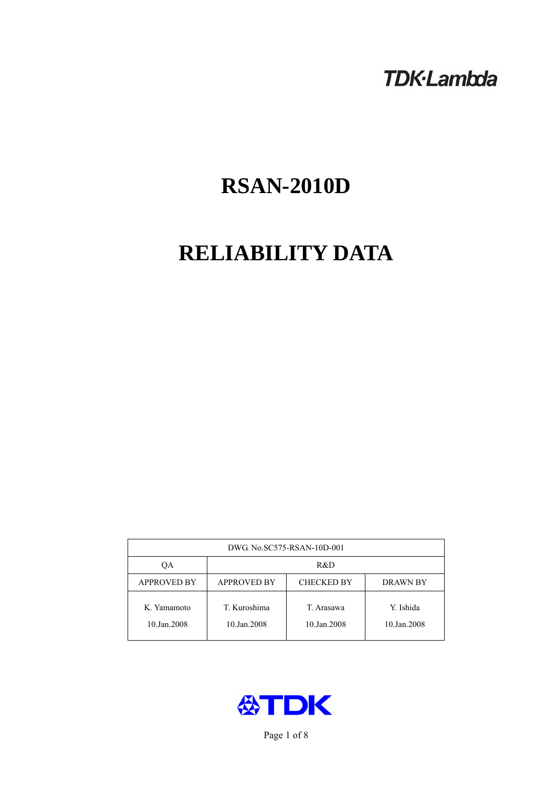# **TDK-Lambda**

# **RSAN-2010D**

# **RELIABILITY DATA**

| DWG. No.SC575-RSAN-10D-001 |                                                            |                           |                          |  |  |
|----------------------------|------------------------------------------------------------|---------------------------|--------------------------|--|--|
| ОA                         | R&D                                                        |                           |                          |  |  |
| <b>APPROVED BY</b>         | <b>APPROVED BY</b><br><b>CHECKED BY</b><br><b>DRAWN BY</b> |                           |                          |  |  |
| K. Yamamoto<br>10.Jan.2008 | T. Kuroshima<br>10.Jan.2008                                | T. Arasawa<br>10.Jan.2008 | Y. Ishida<br>10.Jan.2008 |  |  |



Page 1 of 8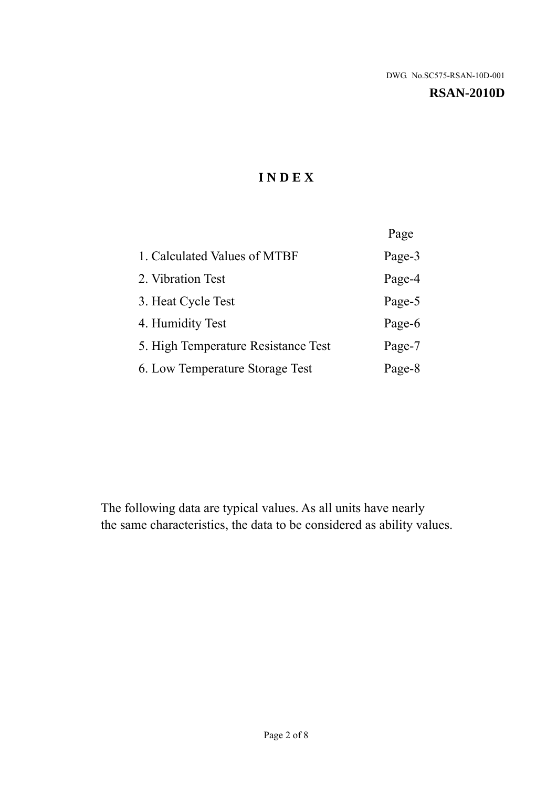#### **RSAN-2010D**

# **I N D E X**

|                                     | Page   |
|-------------------------------------|--------|
| 1. Calculated Values of MTBF        | Page-3 |
| 2. Vibration Test                   | Page-4 |
| 3. Heat Cycle Test                  | Page-5 |
| 4. Humidity Test                    | Page-6 |
| 5. High Temperature Resistance Test | Page-7 |
| 6. Low Temperature Storage Test     | Page-8 |

The following data are typical values. As all units have nearly the same characteristics, the data to be considered as ability values.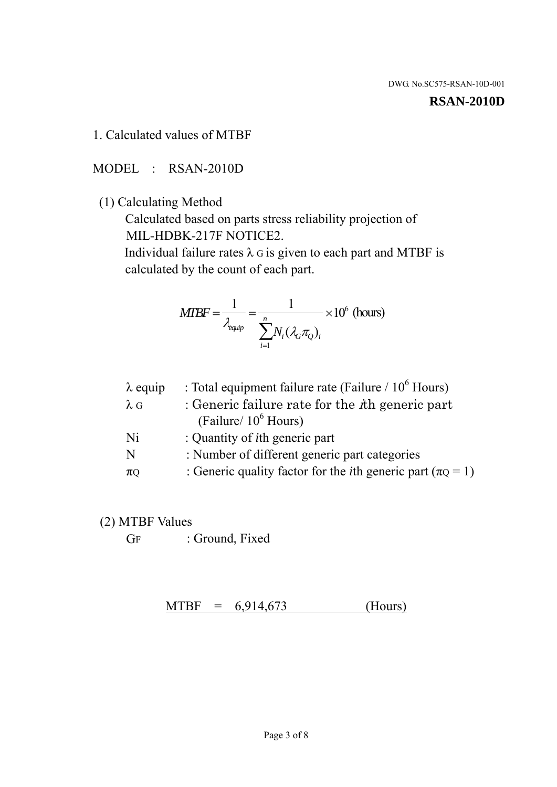#### **RSAN-2010D**

### 1. Calculated values of MTBF

MODEL : RSAN-2010D

(1) Calculating Method

 Calculated based on parts stress reliability projection of MIL-HDBK-217F NOTICE2.

Individual failure rates  $\lambda$  G is given to each part and MTBF is calculated by the count of each part.

$$
MTBF = \frac{1}{\lambda_{\text{equip}}} = \frac{1}{\sum_{i=1}^{n} N_i (\lambda_G \pi_Q)_i} \times 10^6 \text{ (hours)}
$$

| : Total equipment failure rate (Failure / $10^6$ Hours)                   |
|---------------------------------------------------------------------------|
| : Generic failure rate for the $\hbar$ generic part                       |
| (Failure/ $10^6$ Hours)                                                   |
| : Quantity of <i>i</i> th generic part                                    |
| : Number of different generic part categories                             |
| : Generic quality factor for the <i>i</i> th generic part ( $\pi Q = 1$ ) |
|                                                                           |

- (2) MTBF Values
	- GF : Ground, Fixed

 $MTBF = 6,914,673$  (Hours)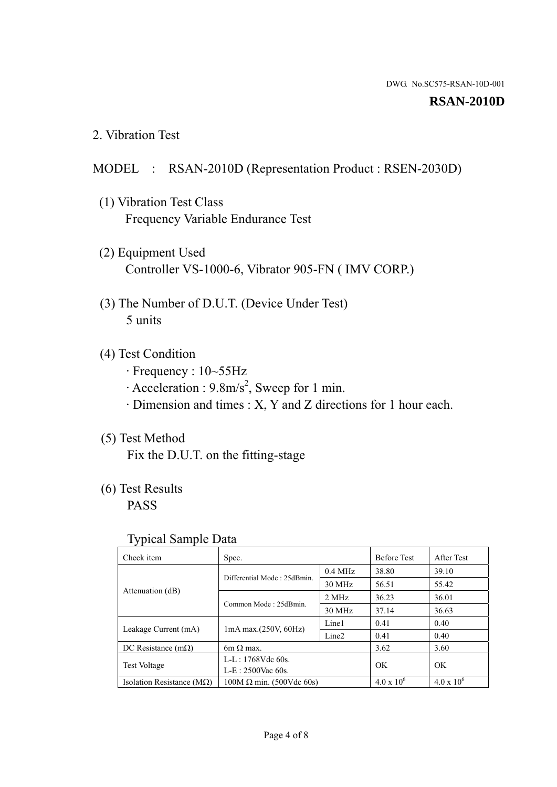#### **RSAN-2010D**

2. Vibration Test

### MODEL : RSAN-2010D (Representation Product : RSEN-2030D)

- (1) Vibration Test Class Frequency Variable Endurance Test
- (2) Equipment Used Controller VS-1000-6, Vibrator 905-FN ( IMV CORP.)
- (3) The Number of D.U.T. (Device Under Test) 5 units
- (4) Test Condition
	- · Frequency : 10~55Hz
	- $\cdot$  Acceleration : 9.8m/s<sup>2</sup>, Sweep for 1 min.
	- · Dimension and times : X, Y and Z directions for 1 hour each.

# (5) Test Method

Fix the D.U.T. on the fitting-stage

# (6) Test Results

PASS

#### Typical Sample Data

| ັ່                                 |                                 |                   |                     |                     |
|------------------------------------|---------------------------------|-------------------|---------------------|---------------------|
| Check item                         | Spec.                           |                   | <b>Before Test</b>  | After Test          |
| Attenuation (dB)                   | Differential Mode: 25dBmin.     | $0.4$ MHz         | 38.80               | 39.10               |
|                                    |                                 | 30 MHz            | 56.51               | 55.42               |
|                                    | Common Mode: 25dBmin.           | 2 MHz             | 36.23               | 36.01               |
|                                    |                                 | 30 MHz            | 37.14               | 36.63               |
| Leakage Current (mA)               | $1mA$ max. $(250V, 60Hz)$       | Line1             | 0.41                | 0.40                |
|                                    |                                 | Line <sub>2</sub> | 0.41                | 0.40                |
| DC Resistance $(m\Omega)$          | 6m $\Omega$ max.                |                   | 3.62                | 3.60                |
| <b>Test Voltage</b>                | $L-L: 1768Vdc$ 60s.             |                   | OK                  | OK.                 |
|                                    | $L-E$ : 2500Vac 60s.            |                   |                     |                     |
| Isolation Resistance ( $M\Omega$ ) | $100M \Omega$ min. (500Vdc 60s) |                   | $4.0 \times 10^{6}$ | $4.0 \times 10^{6}$ |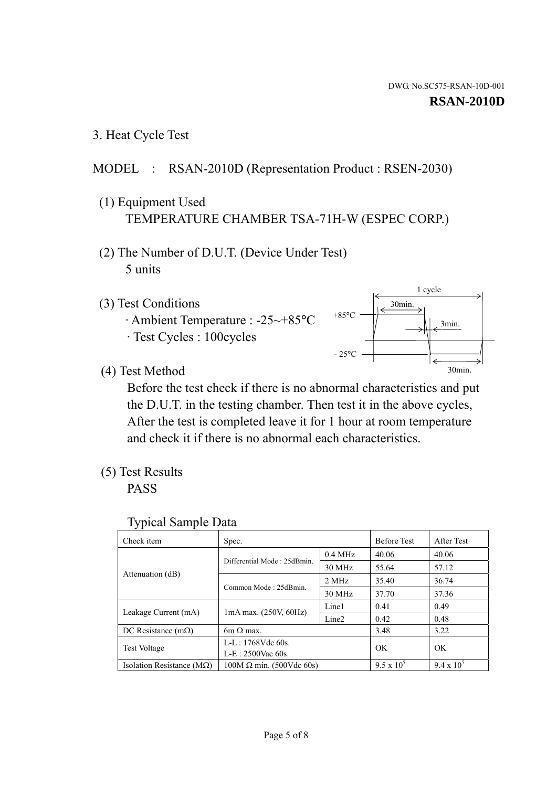1 cycle

30min.

3min.

30min.

3. Heat Cycle Test

# MODEL : RSAN-2010D (Representation Product : RSEN-2030)

- (1) Equipment Used TEMPERATURE CHAMBER TSA-71H-W (ESPEC CORP.)
- (2) The Number of D.U.T. (Device Under Test) 5 units
- (3) Test Conditions
	- · Ambient Temperature : -25~+85°C · Test Cycles : 100cycles
- (4) Test Method

 Before the test check if there is no abnormal characteristics and put the D.U.T. in the testing chamber. Then test it in the above cycles, After the test is completed leave it for 1 hour at room temperature and check it if there is no abnormal each characteristics.

 $+85$ °C

 $-25^{\circ}$ C

(5) Test Results

PASS

| <b>Typical Sample Data</b> |  |  |
|----------------------------|--|--|
|----------------------------|--|--|

| Check item                         | Spec.                           |                   | <b>Before Test</b> | After Test        |
|------------------------------------|---------------------------------|-------------------|--------------------|-------------------|
|                                    | Differential Mode: 25dBmin.     | $0.4$ MHz         | 40.06              | 40.06             |
|                                    |                                 | 30 MHz            | 55.64              | 57.12             |
| Attenuation (dB)                   | Common Mode: 25dBmin.           | 2 MHz             | 35.40              | 36.74             |
|                                    |                                 | 30 MHz            | 37.70              | 37.36             |
| Leakage Current (mA)               | $1mA$ max. $(250V, 60Hz)$       | Line1             | 0.41               | 0.49              |
|                                    |                                 | Line <sub>2</sub> | 0.42               | 0.48              |
| DC Resistance $(m\Omega)$          | 6m $\Omega$ max.                |                   | 3.48               | 3.22              |
| <b>Test Voltage</b>                | $L-L: 1768Vdc$ 60s.             |                   | OK                 | OK                |
|                                    | $L-E: 2500$ Vac 60s.            |                   |                    |                   |
| Isolation Resistance ( $M\Omega$ ) | $100M \Omega$ min. (500Vdc 60s) |                   | $9.5 \times 10^5$  | $9.4 \times 10^5$ |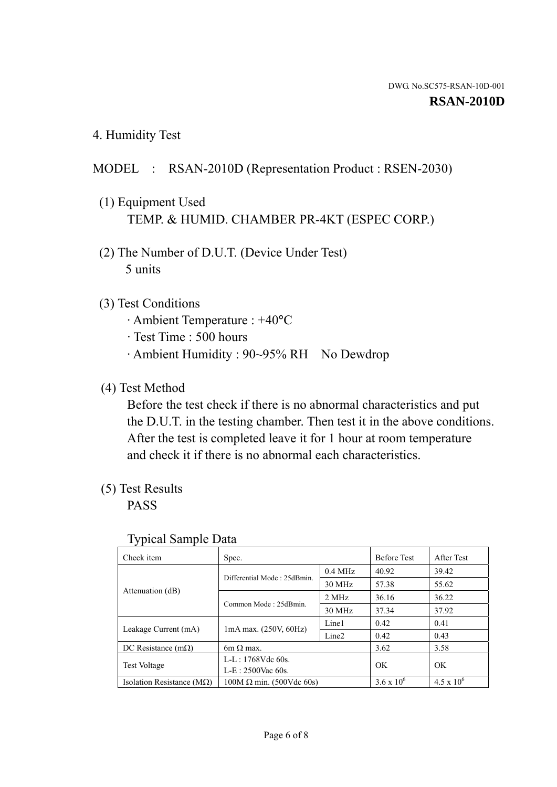4. Humidity Test

# MODEL : RSAN-2010D (Representation Product : RSEN-2030)

- (1) Equipment Used TEMP. & HUMID. CHAMBER PR-4KT (ESPEC CORP.)
- (2) The Number of D.U.T. (Device Under Test) 5 units

# (3) Test Conditions

- · Ambient Temperature : +40°C
- · Test Time : 500 hours
- · Ambient Humidity : 90~95% RH No Dewdrop

# (4) Test Method

 Before the test check if there is no abnormal characteristics and put the D.U.T. in the testing chamber. Then test it in the above conditions. After the test is completed leave it for 1 hour at room temperature and check it if there is no abnormal each characteristics.

# (5) Test Results

PASS

| . .                                |                                 |                   |                     |                     |
|------------------------------------|---------------------------------|-------------------|---------------------|---------------------|
| Check item                         | Spec.                           |                   | <b>Before Test</b>  | After Test          |
| Attenuation (dB)                   | Differential Mode: 25dBmin.     | $0.4$ MHz         | 40.92               | 39.42               |
|                                    |                                 | 30 MHz            | 57.38               | 55.62               |
|                                    | Common Mode: 25dBmin.           | 2 MHz             | 36.16               | 36.22               |
|                                    |                                 | 30 MHz            | 37.34               | 37.92               |
| Leakage Current (mA)               | $1mA$ max. $(250V, 60Hz)$       | Line1             | 0.42                | 0.41                |
|                                    |                                 | Line <sub>2</sub> | 0.42                | 0.43                |
| DC Resistance $(m\Omega)$          | 6m $\Omega$ max.                |                   | 3.62                | 3.58                |
| <b>Test Voltage</b>                | $L-L: 1768Vdc$ 60s.             |                   | OK                  | OK                  |
|                                    | $L-E: 2500$ Vac 60s.            |                   |                     |                     |
| Isolation Resistance ( $M\Omega$ ) | $100M \Omega$ min. (500Vdc 60s) |                   | $3.6 \times 10^{6}$ | $4.5 \times 10^{6}$ |

#### Typical Sample Data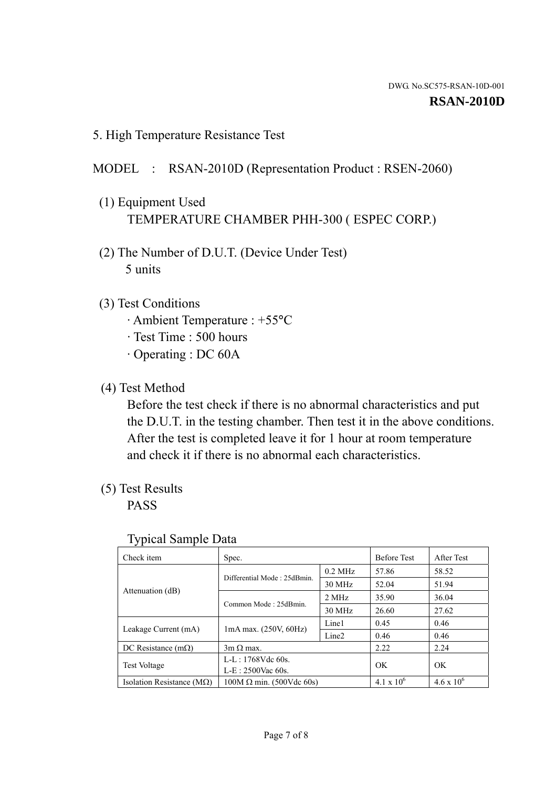5. High Temperature Resistance Test

# MODEL : RSAN-2010D (Representation Product : RSEN-2060)

- (1) Equipment Used TEMPERATURE CHAMBER PHH-300 ( ESPEC CORP.)
- (2) The Number of D.U.T. (Device Under Test) 5 units
- (3) Test Conditions
	- · Ambient Temperature : +55°C
	- · Test Time : 500 hours
	- · Operating : DC 60A
- (4) Test Method

 Before the test check if there is no abnormal characteristics and put the D.U.T. in the testing chamber. Then test it in the above conditions. After the test is completed leave it for 1 hour at room temperature and check it if there is no abnormal each characteristics.

(5) Test Results

PASS

| ┙┸                                 |                                 |                   |                     |                     |
|------------------------------------|---------------------------------|-------------------|---------------------|---------------------|
| Check item                         | Spec.                           |                   | <b>Before Test</b>  | After Test          |
|                                    | Differential Mode: 25dBmin.     | $0.2$ MHz         | 57.86               | 58.52               |
|                                    |                                 | 30 MHz            | 52.04               | 51.94               |
| Attenuation (dB)                   | Common Mode: 25dBmin.           | 2 MHz             | 35.90               | 36.04               |
|                                    |                                 | 30 MHz            | 26.60               | 27.62               |
| Leakage Current (mA)               | $1mA$ max. $(250V, 60Hz)$       | Line1             | 0.45                | 0.46                |
|                                    |                                 | Line <sub>2</sub> | 0.46                | 0.46                |
| DC Resistance $(m\Omega)$          | $3m \Omega$ max.                |                   | 2.22                | 2.24                |
| <b>Test Voltage</b>                | $L-L: 1768Vdc$ 60s.             |                   | OK                  | OK                  |
|                                    | $L-E: 2500$ Vac 60s.            |                   |                     |                     |
| Isolation Resistance ( $M\Omega$ ) | $100M \Omega$ min. (500Vdc 60s) |                   | $4.1 \times 10^{6}$ | $4.6 \times 10^{6}$ |

#### Typical Sample Data